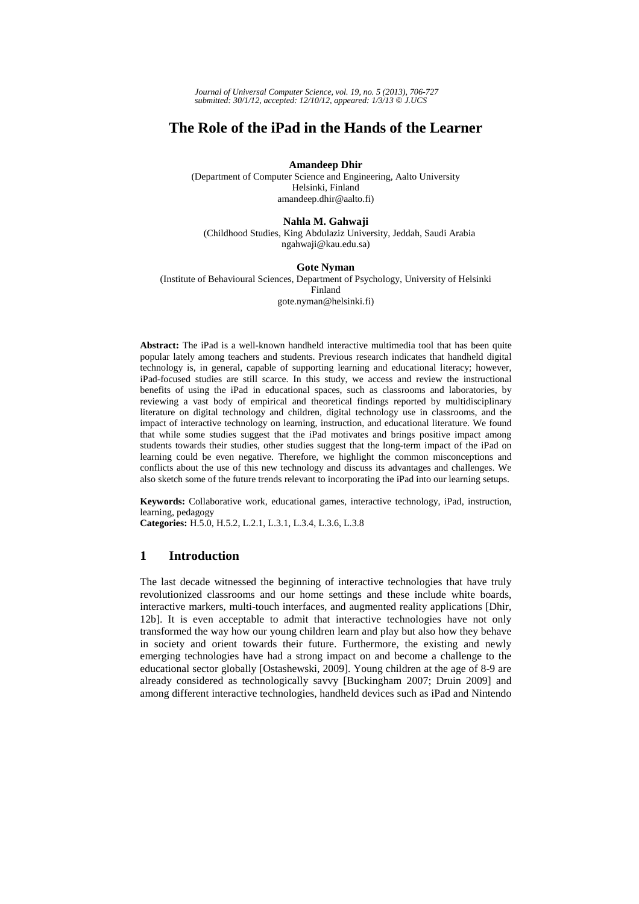*Journal of Universal Computer Science, vol. 19, no. 5 (2013), 706-727 submitted: 30/1/12, accepted: 12/10/12, appeared: 1/3/13* © *J.UCS*

# **The Role of the iPad in the Hands of the Learner**

**Amandeep Dhir** 

(Department of Computer Science and Engineering, Aalto University Helsinki, Finland amandeep.dhir@aalto.fi)

#### **Nahla M. Gahwaji**

(Childhood Studies, King Abdulaziz University, Jeddah, Saudi Arabia ngahwaji@kau.edu.sa)

#### **Gote Nyman**

(Institute of Behavioural Sciences, Department of Psychology, University of Helsinki Finland gote.nyman@helsinki.fi)

**Abstract:** The iPad is a well-known handheld interactive multimedia tool that has been quite popular lately among teachers and students. Previous research indicates that handheld digital technology is, in general, capable of supporting learning and educational literacy; however, iPad-focused studies are still scarce. In this study, we access and review the instructional benefits of using the iPad in educational spaces, such as classrooms and laboratories, by reviewing a vast body of empirical and theoretical findings reported by multidisciplinary literature on digital technology and children, digital technology use in classrooms, and the impact of interactive technology on learning, instruction, and educational literature. We found that while some studies suggest that the iPad motivates and brings positive impact among students towards their studies, other studies suggest that the long-term impact of the iPad on learning could be even negative. Therefore, we highlight the common misconceptions and conflicts about the use of this new technology and discuss its advantages and challenges. We also sketch some of the future trends relevant to incorporating the iPad into our learning setups.

**Keywords:** Collaborative work, educational games, interactive technology, iPad, instruction, learning, pedagogy

**Categories:** H.5.0, H.5.2, L.2.1, L.3.1, L.3.4, L.3.6, L.3.8

### **1 Introduction**

The last decade witnessed the beginning of interactive technologies that have truly revolutionized classrooms and our home settings and these include white boards, interactive markers, multi-touch interfaces, and augmented reality applications [Dhir, 12b]. It is even acceptable to admit that interactive technologies have not only transformed the way how our young children learn and play but also how they behave in society and orient towards their future. Furthermore, the existing and newly emerging technologies have had a strong impact on and become a challenge to the educational sector globally [Ostashewski, 2009]. Young children at the age of 8-9 are already considered as technologically savvy [Buckingham 2007; Druin 2009] and among different interactive technologies, handheld devices such as iPad and Nintendo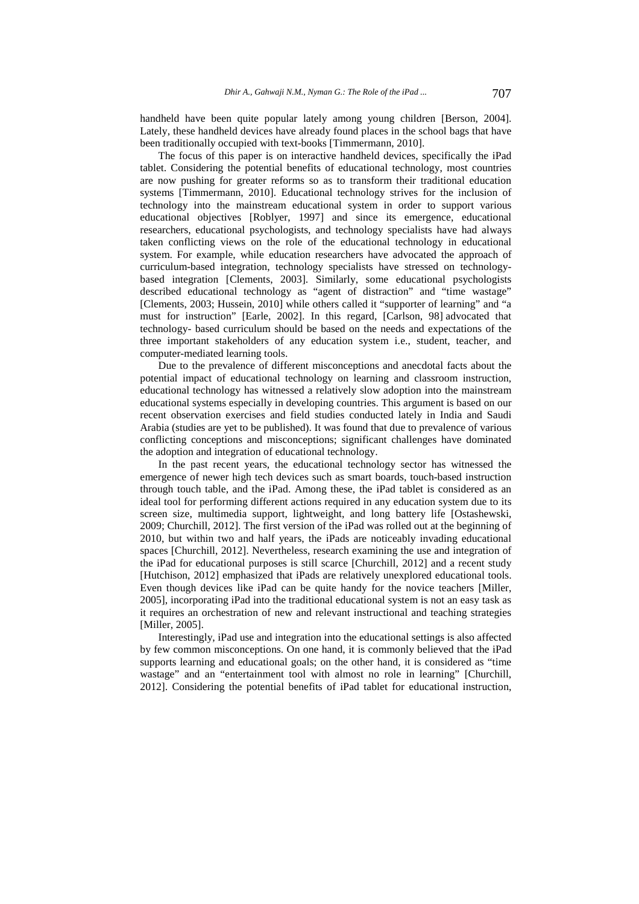handheld have been quite popular lately among young children [Berson, 2004]. Lately, these handheld devices have already found places in the school bags that have been traditionally occupied with text-books [Timmermann, 2010].

The focus of this paper is on interactive handheld devices, specifically the iPad tablet. Considering the potential benefits of educational technology, most countries are now pushing for greater reforms so as to transform their traditional education systems [Timmermann, 2010]. Educational technology strives for the inclusion of technology into the mainstream educational system in order to support various educational objectives [Roblyer, 1997] and since its emergence, educational researchers, educational psychologists, and technology specialists have had always taken conflicting views on the role of the educational technology in educational system. For example, while education researchers have advocated the approach of curriculum-based integration, technology specialists have stressed on technologybased integration [Clements, 2003]. Similarly, some educational psychologists described educational technology as "agent of distraction" and "time wastage" [Clements, 2003; Hussein, 2010] while others called it "supporter of learning" and "a must for instruction" [Earle, 2002]. In this regard, [Carlson, 98] advocated that technology- based curriculum should be based on the needs and expectations of the three important stakeholders of any education system i.e., student, teacher, and computer-mediated learning tools.

Due to the prevalence of different misconceptions and anecdotal facts about the potential impact of educational technology on learning and classroom instruction, educational technology has witnessed a relatively slow adoption into the mainstream educational systems especially in developing countries. This argument is based on our recent observation exercises and field studies conducted lately in India and Saudi Arabia (studies are yet to be published). It was found that due to prevalence of various conflicting conceptions and misconceptions; significant challenges have dominated the adoption and integration of educational technology.

In the past recent years, the educational technology sector has witnessed the emergence of newer high tech devices such as smart boards, touch-based instruction through touch table, and the iPad. Among these, the iPad tablet is considered as an ideal tool for performing different actions required in any education system due to its screen size, multimedia support, lightweight, and long battery life [Ostashewski, 2009; Churchill, 2012]. The first version of the iPad was rolled out at the beginning of 2010, but within two and half years, the iPads are noticeably invading educational spaces [Churchill, 2012]. Nevertheless, research examining the use and integration of the iPad for educational purposes is still scarce [Churchill, 2012] and a recent study [Hutchison, 2012] emphasized that iPads are relatively unexplored educational tools. Even though devices like iPad can be quite handy for the novice teachers [Miller, 2005], incorporating iPad into the traditional educational system is not an easy task as it requires an orchestration of new and relevant instructional and teaching strategies [Miller, 2005].

Interestingly, iPad use and integration into the educational settings is also affected by few common misconceptions. On one hand, it is commonly believed that the iPad supports learning and educational goals; on the other hand, it is considered as "time wastage" and an "entertainment tool with almost no role in learning" [Churchill, 2012]. Considering the potential benefits of iPad tablet for educational instruction,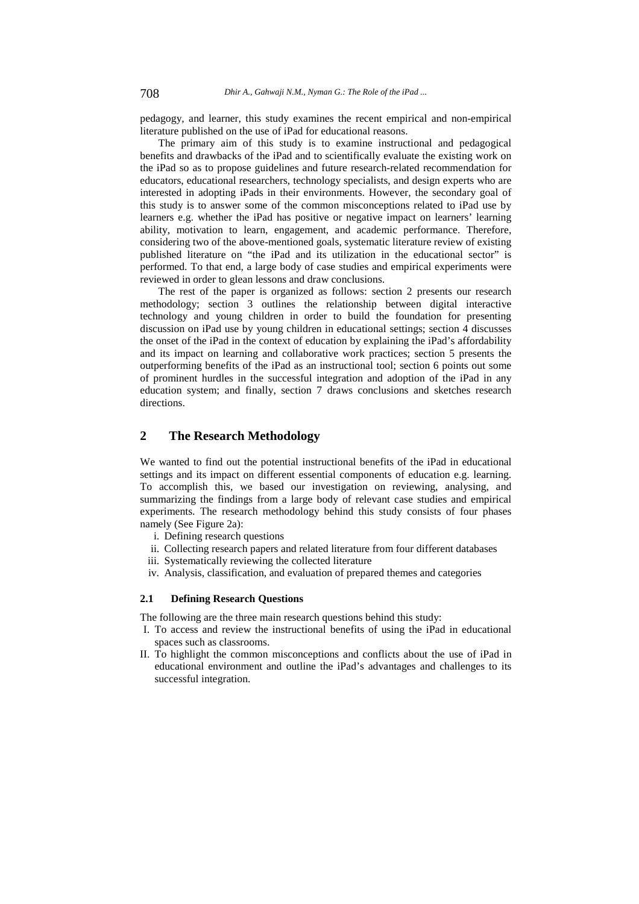pedagogy, and learner, this study examines the recent empirical and non-empirical literature published on the use of iPad for educational reasons.

The primary aim of this study is to examine instructional and pedagogical benefits and drawbacks of the iPad and to scientifically evaluate the existing work on the iPad so as to propose guidelines and future research-related recommendation for educators, educational researchers, technology specialists, and design experts who are interested in adopting iPads in their environments. However, the secondary goal of this study is to answer some of the common misconceptions related to iPad use by learners e.g. whether the iPad has positive or negative impact on learners' learning ability, motivation to learn, engagement, and academic performance. Therefore, considering two of the above-mentioned goals, systematic literature review of existing published literature on "the iPad and its utilization in the educational sector" is performed. To that end, a large body of case studies and empirical experiments were reviewed in order to glean lessons and draw conclusions.

The rest of the paper is organized as follows: section 2 presents our research methodology; section 3 outlines the relationship between digital interactive technology and young children in order to build the foundation for presenting discussion on iPad use by young children in educational settings; section 4 discusses the onset of the iPad in the context of education by explaining the iPad's affordability and its impact on learning and collaborative work practices; section 5 presents the outperforming benefits of the iPad as an instructional tool; section 6 points out some of prominent hurdles in the successful integration and adoption of the iPad in any education system; and finally, section 7 draws conclusions and sketches research directions.

## **2 The Research Methodology**

We wanted to find out the potential instructional benefits of the iPad in educational settings and its impact on different essential components of education e.g. learning. To accomplish this, we based our investigation on reviewing, analysing, and summarizing the findings from a large body of relevant case studies and empirical experiments. The research methodology behind this study consists of four phases namely (See Figure 2a):

- i. Defining research questions
- ii. Collecting research papers and related literature from four different databases
- iii. Systematically reviewing the collected literature
- iv. Analysis, classification, and evaluation of prepared themes and categories

#### **2.1 Defining Research Questions**

The following are the three main research questions behind this study:

- I. To access and review the instructional benefits of using the iPad in educational spaces such as classrooms.
- II. To highlight the common misconceptions and conflicts about the use of iPad in educational environment and outline the iPad's advantages and challenges to its successful integration.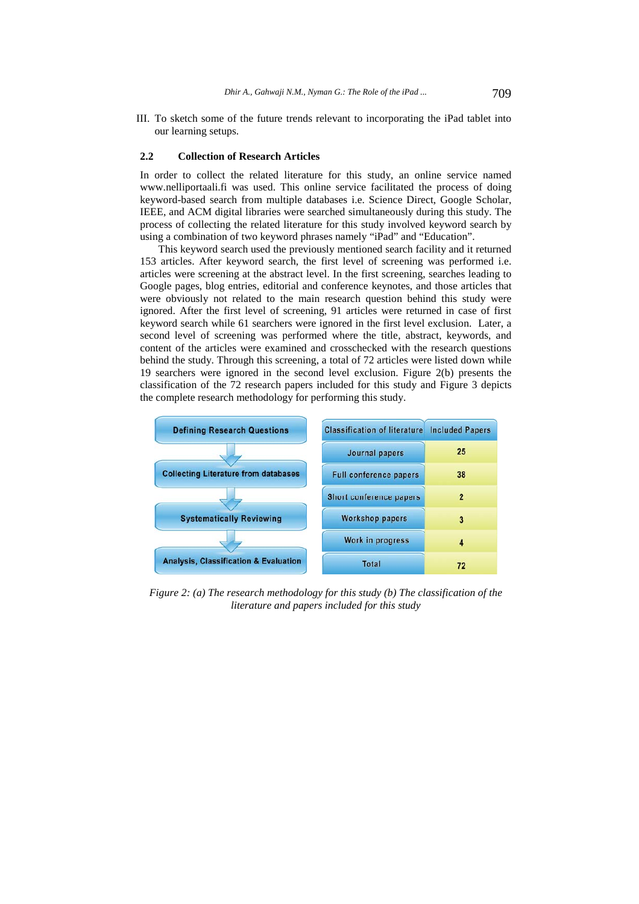III. To sketch some of the future trends relevant to incorporating the iPad tablet into our learning setups.

#### **2.2 Collection of Research Articles**

In order to collect the related literature for this study, an online service named www.nelliportaali.fi was used. This online service facilitated the process of doing keyword-based search from multiple databases i.e. Science Direct, Google Scholar, IEEE, and ACM digital libraries were searched simultaneously during this study. The process of collecting the related literature for this study involved keyword search by using a combination of two keyword phrases namely "iPad" and "Education".

This keyword search used the previously mentioned search facility and it returned 153 articles. After keyword search, the first level of screening was performed i.e. articles were screening at the abstract level. In the first screening, searches leading to Google pages, blog entries, editorial and conference keynotes, and those articles that were obviously not related to the main research question behind this study were ignored. After the first level of screening, 91 articles were returned in case of first keyword search while 61 searchers were ignored in the first level exclusion. Later, a second level of screening was performed where the title, abstract, keywords, and content of the articles were examined and crosschecked with the research questions behind the study. Through this screening, a total of 72 articles were listed down while 19 searchers were ignored in the second level exclusion. Figure 2(b) presents the classification of the 72 research papers included for this study and Figure 3 depicts the complete research methodology for performing this study.



*Figure 2: (a) The research methodology for this study (b) The classification of the literature and papers included for this study*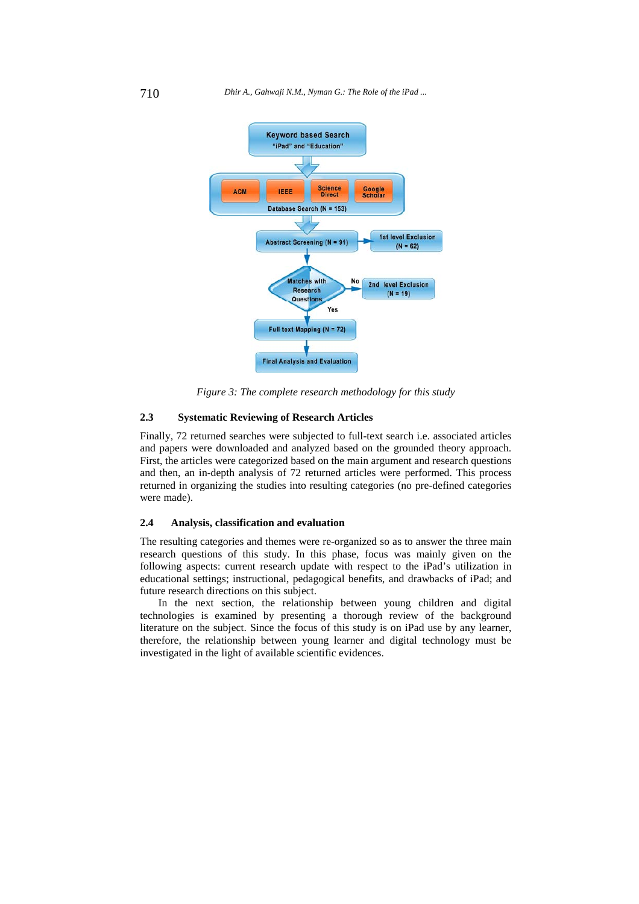

*Figure 3: The complete research methodology for this study* 

## **2.3 Systematic Reviewing of Research Articles**

Finally, 72 returned searches were subjected to full-text search i.e. associated articles and papers were downloaded and analyzed based on the grounded theory approach. First, the articles were categorized based on the main argument and research questions and then, an in-depth analysis of 72 returned articles were performed. This process returned in organizing the studies into resulting categories (no pre-defined categories were made).

#### **2.4 Analysis, classification and evaluation**

The resulting categories and themes were re-organized so as to answer the three main research questions of this study. In this phase, focus was mainly given on the following aspects: current research update with respect to the iPad's utilization in educational settings; instructional, pedagogical benefits, and drawbacks of iPad; and future research directions on this subject.

In the next section, the relationship between young children and digital technologies is examined by presenting a thorough review of the background literature on the subject. Since the focus of this study is on iPad use by any learner, therefore, the relationship between young learner and digital technology must be investigated in the light of available scientific evidences.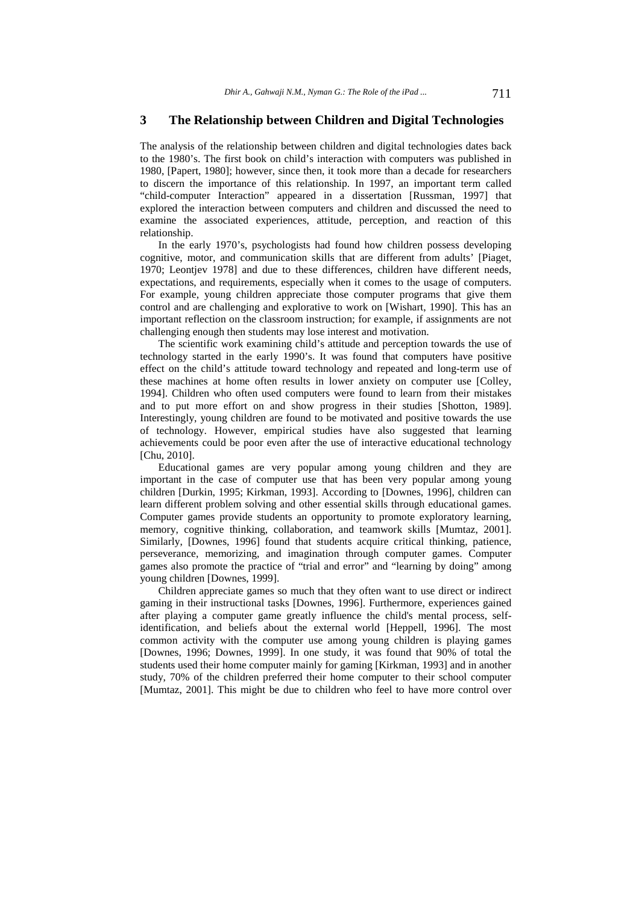## **3 The Relationship between Children and Digital Technologies**

The analysis of the relationship between children and digital technologies dates back to the 1980's. The first book on child's interaction with computers was published in 1980, [Papert, 1980]; however, since then, it took more than a decade for researchers to discern the importance of this relationship. In 1997, an important term called "child-computer Interaction" appeared in a dissertation [Russman, 1997] that explored the interaction between computers and children and discussed the need to examine the associated experiences, attitude, perception, and reaction of this relationship.

In the early 1970's, psychologists had found how children possess developing cognitive, motor, and communication skills that are different from adults' [Piaget, 1970; Leontjev 1978] and due to these differences, children have different needs, expectations, and requirements, especially when it comes to the usage of computers. For example, young children appreciate those computer programs that give them control and are challenging and explorative to work on [Wishart, 1990]. This has an important reflection on the classroom instruction; for example, if assignments are not challenging enough then students may lose interest and motivation.

The scientific work examining child's attitude and perception towards the use of technology started in the early 1990's. It was found that computers have positive effect on the child's attitude toward technology and repeated and long-term use of these machines at home often results in lower anxiety on computer use [Colley, 1994]. Children who often used computers were found to learn from their mistakes and to put more effort on and show progress in their studies [Shotton, 1989]. Interestingly, young children are found to be motivated and positive towards the use of technology. However, empirical studies have also suggested that learning achievements could be poor even after the use of interactive educational technology [Chu, 2010].

Educational games are very popular among young children and they are important in the case of computer use that has been very popular among young children [Durkin, 1995; Kirkman, 1993]. According to [Downes, 1996], children can learn different problem solving and other essential skills through educational games. Computer games provide students an opportunity to promote exploratory learning, memory, cognitive thinking, collaboration, and teamwork skills [Mumtaz, 2001]. Similarly, [Downes, 1996] found that students acquire critical thinking, patience, perseverance, memorizing, and imagination through computer games. Computer games also promote the practice of "trial and error" and "learning by doing" among young children [Downes, 1999].

Children appreciate games so much that they often want to use direct or indirect gaming in their instructional tasks [Downes, 1996]. Furthermore, experiences gained after playing a computer game greatly influence the child's mental process, selfidentification, and beliefs about the external world [Heppell, 1996]. The most common activity with the computer use among young children is playing games [Downes, 1996; Downes, 1999]. In one study, it was found that 90% of total the students used their home computer mainly for gaming [Kirkman, 1993] and in another study, 70% of the children preferred their home computer to their school computer [Mumtaz, 2001]. This might be due to children who feel to have more control over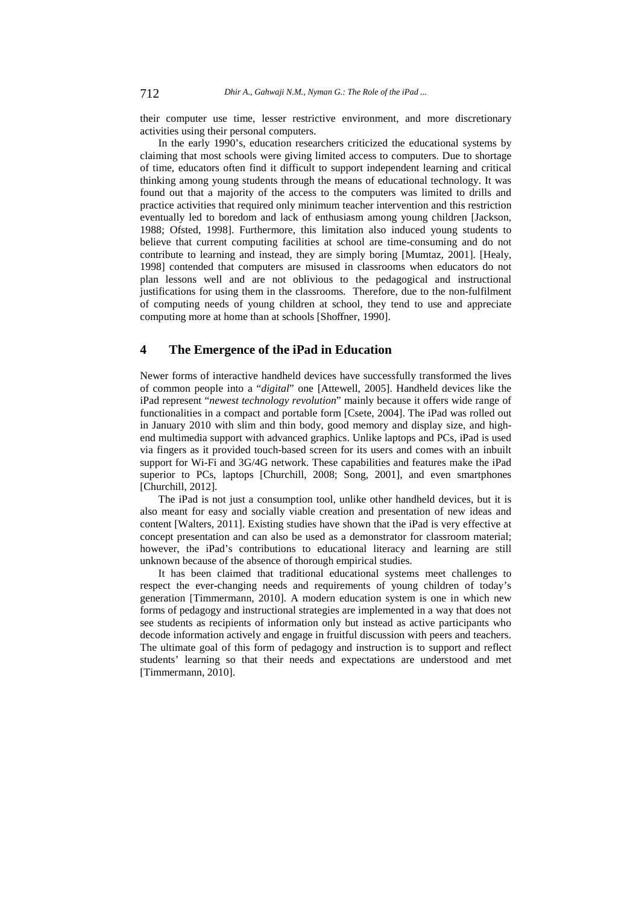their computer use time, lesser restrictive environment, and more discretionary activities using their personal computers.

In the early 1990's, education researchers criticized the educational systems by claiming that most schools were giving limited access to computers. Due to shortage of time, educators often find it difficult to support independent learning and critical thinking among young students through the means of educational technology. It was found out that a majority of the access to the computers was limited to drills and practice activities that required only minimum teacher intervention and this restriction eventually led to boredom and lack of enthusiasm among young children [Jackson, 1988; Ofsted, 1998]. Furthermore, this limitation also induced young students to believe that current computing facilities at school are time-consuming and do not contribute to learning and instead, they are simply boring [Mumtaz, 2001]. [Healy, 1998] contended that computers are misused in classrooms when educators do not plan lessons well and are not oblivious to the pedagogical and instructional justifications for using them in the classrooms. Therefore, due to the non-fulfilment of computing needs of young children at school, they tend to use and appreciate computing more at home than at schools [Shoffner, 1990].

## **4 The Emergence of the iPad in Education**

Newer forms of interactive handheld devices have successfully transformed the lives of common people into a "*digital*" one [Attewell, 2005]. Handheld devices like the iPad represent "*newest technology revolution*" mainly because it offers wide range of functionalities in a compact and portable form [Csete, 2004]. The iPad was rolled out in January 2010 with slim and thin body, good memory and display size, and highend multimedia support with advanced graphics. Unlike laptops and PCs, iPad is used via fingers as it provided touch-based screen for its users and comes with an inbuilt support for Wi-Fi and 3G/4G network. These capabilities and features make the iPad superior to PCs, laptops [Churchill, 2008; Song, 2001], and even smartphones [Churchill, 2012].

The iPad is not just a consumption tool, unlike other handheld devices, but it is also meant for easy and socially viable creation and presentation of new ideas and content [Walters, 2011]. Existing studies have shown that the iPad is very effective at concept presentation and can also be used as a demonstrator for classroom material; however, the iPad's contributions to educational literacy and learning are still unknown because of the absence of thorough empirical studies.

It has been claimed that traditional educational systems meet challenges to respect the ever-changing needs and requirements of young children of today's generation [Timmermann, 2010]. A modern education system is one in which new forms of pedagogy and instructional strategies are implemented in a way that does not see students as recipients of information only but instead as active participants who decode information actively and engage in fruitful discussion with peers and teachers. The ultimate goal of this form of pedagogy and instruction is to support and reflect students' learning so that their needs and expectations are understood and met [Timmermann, 2010].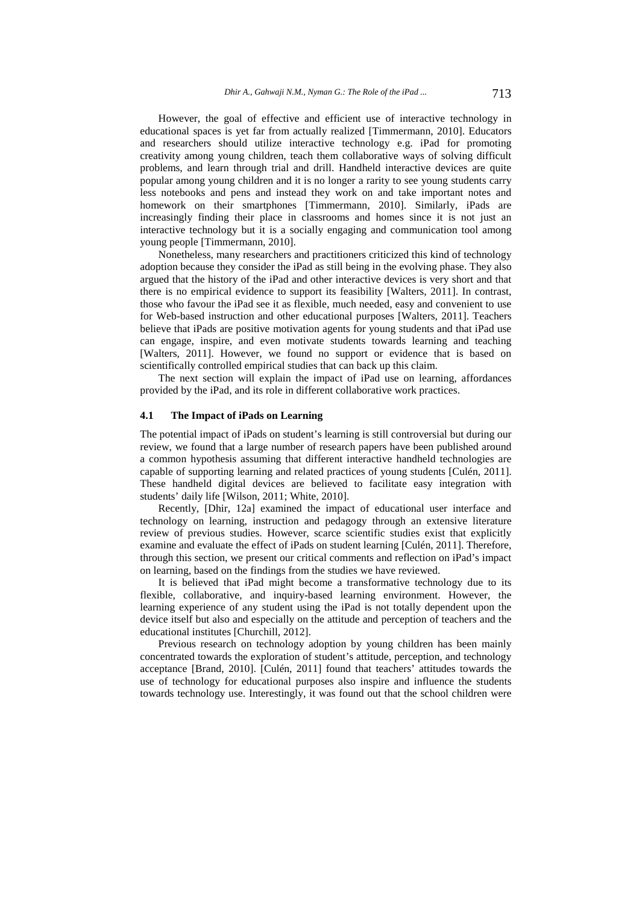However, the goal of effective and efficient use of interactive technology in educational spaces is yet far from actually realized [Timmermann, 2010]. Educators and researchers should utilize interactive technology e.g. iPad for promoting creativity among young children, teach them collaborative ways of solving difficult problems, and learn through trial and drill. Handheld interactive devices are quite popular among young children and it is no longer a rarity to see young students carry less notebooks and pens and instead they work on and take important notes and homework on their smartphones [Timmermann, 2010]. Similarly, iPads are increasingly finding their place in classrooms and homes since it is not just an interactive technology but it is a socially engaging and communication tool among young people [Timmermann, 2010].

Nonetheless, many researchers and practitioners criticized this kind of technology adoption because they consider the iPad as still being in the evolving phase. They also argued that the history of the iPad and other interactive devices is very short and that there is no empirical evidence to support its feasibility [Walters, 2011]. In contrast, those who favour the iPad see it as flexible, much needed, easy and convenient to use for Web-based instruction and other educational purposes [Walters, 2011]. Teachers believe that iPads are positive motivation agents for young students and that iPad use can engage, inspire, and even motivate students towards learning and teaching [Walters, 2011]. However, we found no support or evidence that is based on scientifically controlled empirical studies that can back up this claim.

The next section will explain the impact of iPad use on learning, affordances provided by the iPad, and its role in different collaborative work practices.

#### **4.1 The Impact of iPads on Learning**

The potential impact of iPads on student's learning is still controversial but during our review, we found that a large number of research papers have been published around a common hypothesis assuming that different interactive handheld technologies are capable of supporting learning and related practices of young students [Culén, 2011]. These handheld digital devices are believed to facilitate easy integration with students' daily life [Wilson, 2011; White, 2010].

Recently, [Dhir, 12a] examined the impact of educational user interface and technology on learning, instruction and pedagogy through an extensive literature review of previous studies. However, scarce scientific studies exist that explicitly examine and evaluate the effect of iPads on student learning [Culén, 2011]. Therefore, through this section, we present our critical comments and reflection on iPad's impact on learning, based on the findings from the studies we have reviewed.

It is believed that iPad might become a transformative technology due to its flexible, collaborative, and inquiry-based learning environment. However, the learning experience of any student using the iPad is not totally dependent upon the device itself but also and especially on the attitude and perception of teachers and the educational institutes [Churchill, 2012].

Previous research on technology adoption by young children has been mainly concentrated towards the exploration of student's attitude, perception, and technology acceptance [Brand, 2010]. [Culén, 2011] found that teachers' attitudes towards the use of technology for educational purposes also inspire and influence the students towards technology use. Interestingly, it was found out that the school children were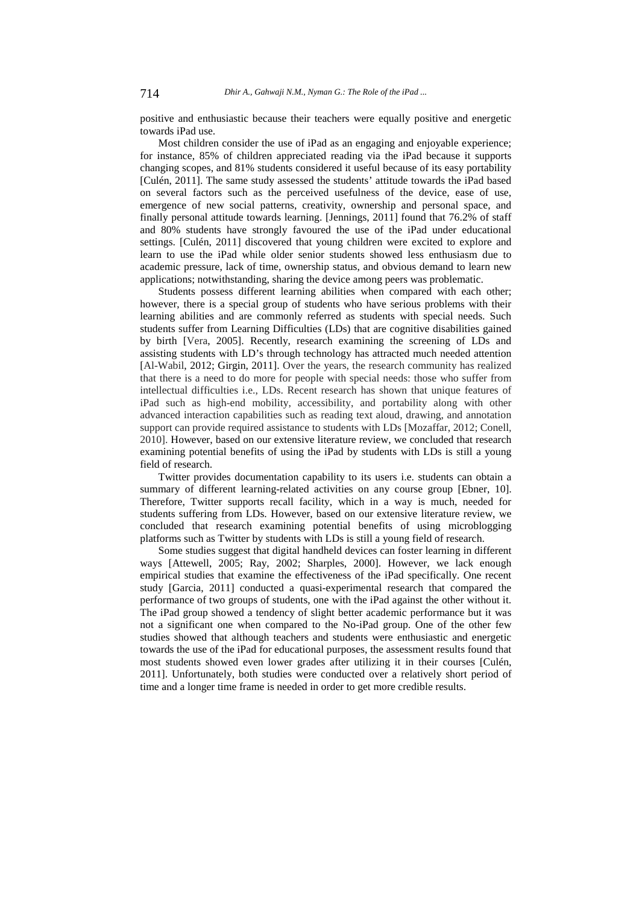positive and enthusiastic because their teachers were equally positive and energetic towards iPad use.

Most children consider the use of iPad as an engaging and enjoyable experience; for instance, 85% of children appreciated reading via the iPad because it supports changing scopes, and 81% students considered it useful because of its easy portability [Culén, 2011]. The same study assessed the students' attitude towards the iPad based on several factors such as the perceived usefulness of the device, ease of use, emergence of new social patterns, creativity, ownership and personal space, and finally personal attitude towards learning. [Jennings, 2011] found that 76.2% of staff and 80% students have strongly favoured the use of the iPad under educational settings. [Culén, 2011] discovered that young children were excited to explore and learn to use the iPad while older senior students showed less enthusiasm due to academic pressure, lack of time, ownership status, and obvious demand to learn new applications; notwithstanding, sharing the device among peers was problematic.

Students possess different learning abilities when compared with each other; however, there is a special group of students who have serious problems with their learning abilities and are commonly referred as students with special needs. Such students suffer from Learning Difficulties (LDs) that are cognitive disabilities gained by birth [Vera, 2005]. Recently, research examining the screening of LDs and assisting students with LD's through technology has attracted much needed attention [Al-Wabil, 2012; Girgin, 2011]. Over the years, the research community has realized that there is a need to do more for people with special needs: those who suffer from intellectual difficulties i.e., LDs. Recent research has shown that unique features of iPad such as high-end mobility, accessibility, and portability along with other advanced interaction capabilities such as reading text aloud, drawing, and annotation support can provide required assistance to students with LDs [Mozaffar, 2012; Conell, 2010]. However, based on our extensive literature review, we concluded that research examining potential benefits of using the iPad by students with LDs is still a young field of research.

Twitter provides documentation capability to its users i.e. students can obtain a summary of different learning-related activities on any course group [Ebner, 10]. Therefore, Twitter supports recall facility, which in a way is much, needed for students suffering from LDs. However, based on our extensive literature review, we concluded that research examining potential benefits of using microblogging platforms such as Twitter by students with LDs is still a young field of research.

Some studies suggest that digital handheld devices can foster learning in different ways [Attewell, 2005; Ray, 2002; Sharples, 2000]. However, we lack enough empirical studies that examine the effectiveness of the iPad specifically. One recent study [Garcia, 2011] conducted a quasi-experimental research that compared the performance of two groups of students, one with the iPad against the other without it. The iPad group showed a tendency of slight better academic performance but it was not a significant one when compared to the No-iPad group. One of the other few studies showed that although teachers and students were enthusiastic and energetic towards the use of the iPad for educational purposes, the assessment results found that most students showed even lower grades after utilizing it in their courses [Culén, 2011]. Unfortunately, both studies were conducted over a relatively short period of time and a longer time frame is needed in order to get more credible results.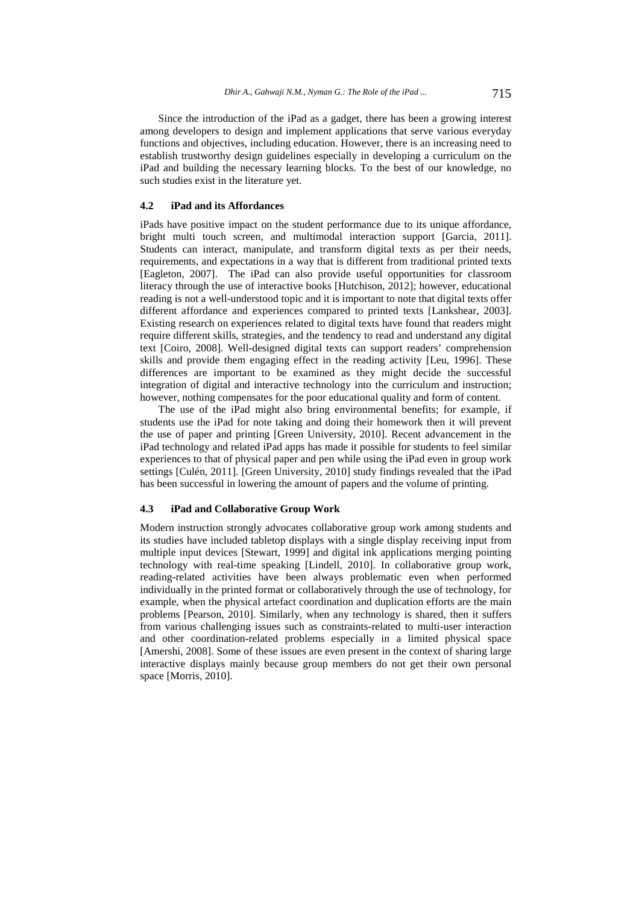Since the introduction of the iPad as a gadget, there has been a growing interest among developers to design and implement applications that serve various everyday functions and objectives, including education. However, there is an increasing need to establish trustworthy design guidelines especially in developing a curriculum on the iPad and building the necessary learning blocks. To the best of our knowledge, no such studies exist in the literature yet.

### **4.2 iPad and its Affordances**

iPads have positive impact on the student performance due to its unique affordance, bright multi touch screen, and multimodal interaction support [Garcia, 2011]. Students can interact, manipulate, and transform digital texts as per their needs, requirements, and expectations in a way that is different from traditional printed texts [Eagleton, 2007]. The iPad can also provide useful opportunities for classroom literacy through the use of interactive books [Hutchison, 2012]; however, educational reading is not a well-understood topic and it is important to note that digital texts offer different affordance and experiences compared to printed texts [Lankshear, 2003]. Existing research on experiences related to digital texts have found that readers might require different skills, strategies, and the tendency to read and understand any digital text [Coiro, 2008]. Well-designed digital texts can support readers' comprehension skills and provide them engaging effect in the reading activity [Leu, 1996]. These differences are important to be examined as they might decide the successful integration of digital and interactive technology into the curriculum and instruction; however, nothing compensates for the poor educational quality and form of content.

The use of the iPad might also bring environmental benefits; for example, if students use the iPad for note taking and doing their homework then it will prevent the use of paper and printing [Green University, 2010]. Recent advancement in the iPad technology and related iPad apps has made it possible for students to feel similar experiences to that of physical paper and pen while using the iPad even in group work settings [Culén, 2011]. [Green University, 2010] study findings revealed that the iPad has been successful in lowering the amount of papers and the volume of printing.

#### **4.3 iPad and Collaborative Group Work**

Modern instruction strongly advocates collaborative group work among students and its studies have included tabletop displays with a single display receiving input from multiple input devices [Stewart, 1999] and digital ink applications merging pointing technology with real-time speaking [Lindell, 2010]. In collaborative group work, reading-related activities have been always problematic even when performed individually in the printed format or collaboratively through the use of technology, for example, when the physical artefact coordination and duplication efforts are the main problems [Pearson, 2010]. Similarly, when any technology is shared, then it suffers from various challenging issues such as constraints-related to multi-user interaction and other coordination-related problems especially in a limited physical space [Amershi, 2008]. Some of these issues are even present in the context of sharing large interactive displays mainly because group members do not get their own personal space [Morris, 2010].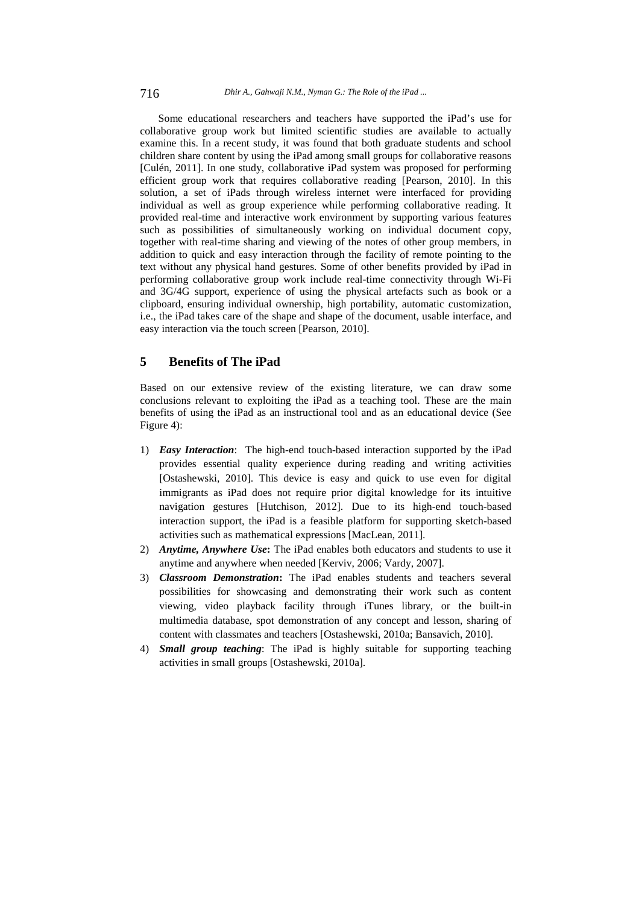Some educational researchers and teachers have supported the iPad's use for collaborative group work but limited scientific studies are available to actually examine this. In a recent study, it was found that both graduate students and school children share content by using the iPad among small groups for collaborative reasons [Culén, 2011]. In one study, collaborative iPad system was proposed for performing efficient group work that requires collaborative reading [Pearson, 2010]. In this solution, a set of iPads through wireless internet were interfaced for providing individual as well as group experience while performing collaborative reading. It provided real-time and interactive work environment by supporting various features such as possibilities of simultaneously working on individual document copy, together with real-time sharing and viewing of the notes of other group members, in addition to quick and easy interaction through the facility of remote pointing to the text without any physical hand gestures. Some of other benefits provided by iPad in performing collaborative group work include real-time connectivity through Wi-Fi and 3G/4G support, experience of using the physical artefacts such as book or a clipboard, ensuring individual ownership, high portability, automatic customization, i.e., the iPad takes care of the shape and shape of the document, usable interface, and easy interaction via the touch screen [Pearson, 2010].

## **5 Benefits of The iPad**

Based on our extensive review of the existing literature, we can draw some conclusions relevant to exploiting the iPad as a teaching tool. These are the main benefits of using the iPad as an instructional tool and as an educational device (See Figure 4):

- 1) *Easy Interaction*: The high-end touch-based interaction supported by the iPad provides essential quality experience during reading and writing activities [Ostashewski, 2010]. This device is easy and quick to use even for digital immigrants as iPad does not require prior digital knowledge for its intuitive navigation gestures [Hutchison, 2012]. Due to its high-end touch-based interaction support, the iPad is a feasible platform for supporting sketch-based activities such as mathematical expressions [MacLean, 2011].
- 2) *Anytime, Anywhere Use***:** The iPad enables both educators and students to use it anytime and anywhere when needed [Kerviv, 2006; Vardy, 2007].
- 3) *Classroom Demonstration***:** The iPad enables students and teachers several possibilities for showcasing and demonstrating their work such as content viewing, video playback facility through iTunes library, or the built-in multimedia database, spot demonstration of any concept and lesson, sharing of content with classmates and teachers [Ostashewski, 2010a; Bansavich, 2010].
- 4) *Small group teaching*: The iPad is highly suitable for supporting teaching activities in small groups [Ostashewski, 2010a].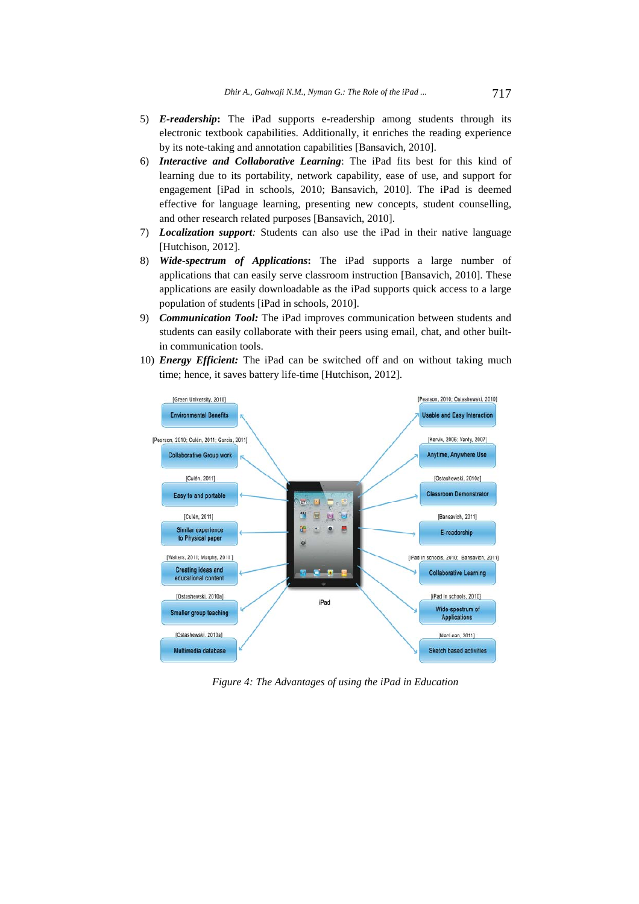- 5) *E-readership***:** The iPad supports e-readership among students through its electronic textbook capabilities. Additionally, it enriches the reading experience by its note-taking and annotation capabilities [Bansavich, 2010].
- 6) *Interactive and Collaborative Learning*: The iPad fits best for this kind of learning due to its portability, network capability, ease of use, and support for engagement [iPad in schools, 2010; Bansavich, 2010]. The iPad is deemed effective for language learning, presenting new concepts, student counselling, and other research related purposes [Bansavich, 2010].
- 7) *Localization support:* Students can also use the iPad in their native language [Hutchison, 2012].
- 8) *Wide-spectrum of Applications***:** The iPad supports a large number of applications that can easily serve classroom instruction [Bansavich, 2010]. These applications are easily downloadable as the iPad supports quick access to a large population of students [iPad in schools, 2010].
- 9) *Communication Tool:* The iPad improves communication between students and students can easily collaborate with their peers using email, chat, and other builtin communication tools.
- 10) *Energy Efficient:* The iPad can be switched off and on without taking much time; hence, it saves battery life-time [Hutchison, 2012].



*Figure 4: The Advantages of using the iPad in Education*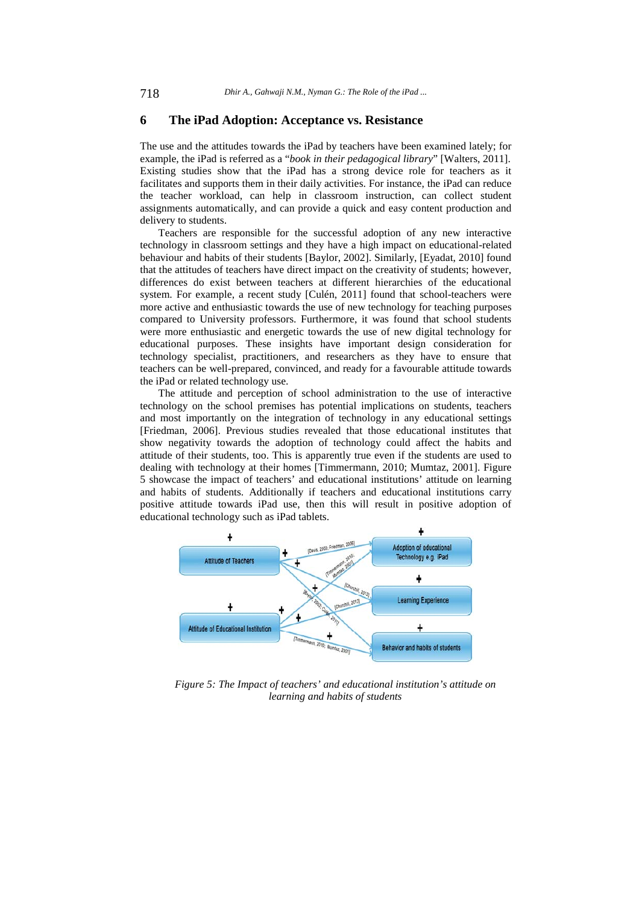## **6 The iPad Adoption: Acceptance vs. Resistance**

The use and the attitudes towards the iPad by teachers have been examined lately; for example, the iPad is referred as a "*book in their pedagogical library*" [Walters, 2011]. Existing studies show that the iPad has a strong device role for teachers as it facilitates and supports them in their daily activities. For instance, the iPad can reduce the teacher workload, can help in classroom instruction, can collect student assignments automatically, and can provide a quick and easy content production and delivery to students.

Teachers are responsible for the successful adoption of any new interactive technology in classroom settings and they have a high impact on educational-related behaviour and habits of their students [Baylor, 2002]. Similarly, [Eyadat, 2010] found that the attitudes of teachers have direct impact on the creativity of students; however, differences do exist between teachers at different hierarchies of the educational system. For example, a recent study [Culén, 2011] found that school-teachers were more active and enthusiastic towards the use of new technology for teaching purposes compared to University professors. Furthermore, it was found that school students were more enthusiastic and energetic towards the use of new digital technology for educational purposes. These insights have important design consideration for technology specialist, practitioners, and researchers as they have to ensure that teachers can be well-prepared, convinced, and ready for a favourable attitude towards the iPad or related technology use.

The attitude and perception of school administration to the use of interactive technology on the school premises has potential implications on students, teachers and most importantly on the integration of technology in any educational settings [Friedman, 2006]. Previous studies revealed that those educational institutes that show negativity towards the adoption of technology could affect the habits and attitude of their students, too. This is apparently true even if the students are used to dealing with technology at their homes [Timmermann, 2010; Mumtaz, 2001]. Figure 5 showcase the impact of teachers' and educational institutions' attitude on learning and habits of students. Additionally if teachers and educational institutions carry positive attitude towards iPad use, then this will result in positive adoption of educational technology such as iPad tablets.



*Figure 5: The Impact of teachers' and educational institution's attitude on learning and habits of students*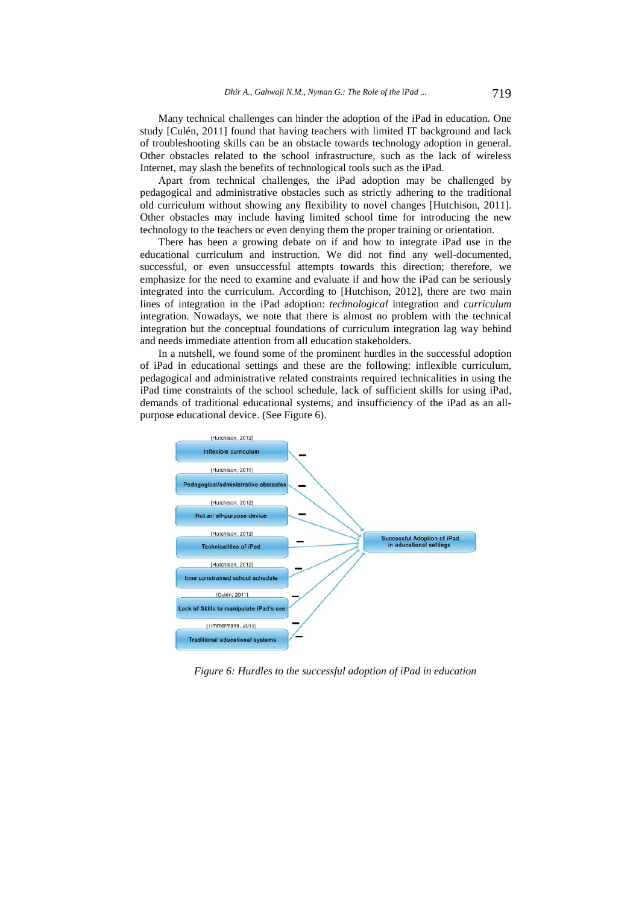Many technical challenges can hinder the adoption of the iPad in education. One study [Culén, 2011] found that having teachers with limited IT background and lack of troubleshooting skills can be an obstacle towards technology adoption in general. Other obstacles related to the school infrastructure, such as the lack of wireless Internet, may slash the benefits of technological tools such as the iPad.

Apart from technical challenges, the iPad adoption may be challenged by pedagogical and administrative obstacles such as strictly adhering to the traditional old curriculum without showing any flexibility to novel changes [Hutchison, 2011]. Other obstacles may include having limited school time for introducing the new technology to the teachers or even denying them the proper training or orientation.

There has been a growing debate on if and how to integrate iPad use in the educational curriculum and instruction. We did not find any well-documented, successful, or even unsuccessful attempts towards this direction; therefore, we emphasize for the need to examine and evaluate if and how the iPad can be seriously integrated into the curriculum. According to [Hutchison, 2012], there are two main lines of integration in the iPad adoption: *technological* integration and *curriculum* integration. Nowadays, we note that there is almost no problem with the technical integration but the conceptual foundations of curriculum integration lag way behind and needs immediate attention from all education stakeholders.

In a nutshell, we found some of the prominent hurdles in the successful adoption of iPad in educational settings and these are the following: inflexible curriculum, pedagogical and administrative related constraints required technicalities in using the iPad time constraints of the school schedule, lack of sufficient skills for using iPad, demands of traditional educational systems, and insufficiency of the iPad as an allpurpose educational device. (See Figure 6).



*Figure 6: Hurdles to the successful adoption of iPad in education*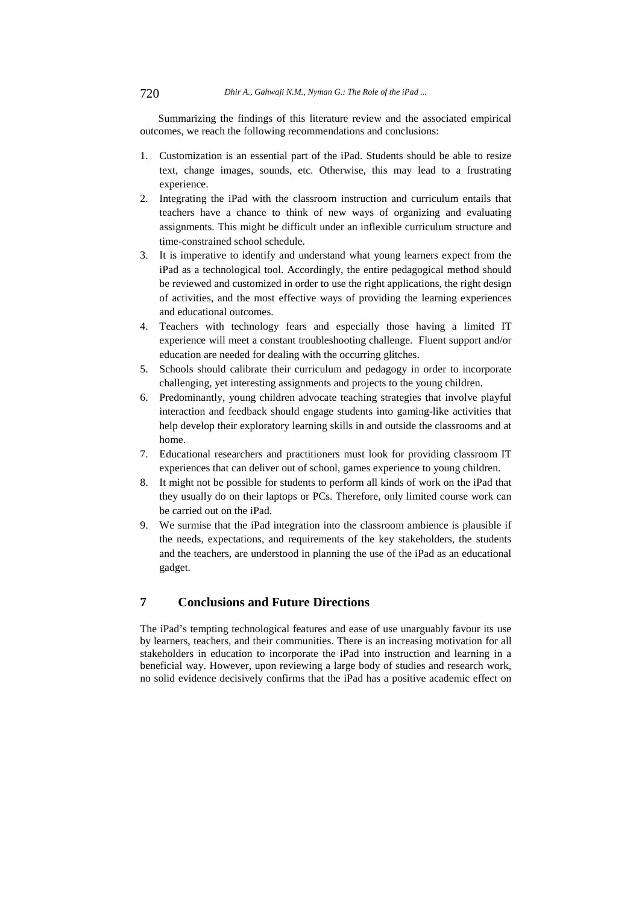Summarizing the findings of this literature review and the associated empirical outcomes, we reach the following recommendations and conclusions:

- 1. Customization is an essential part of the iPad. Students should be able to resize text, change images, sounds, etc. Otherwise, this may lead to a frustrating experience.
- 2. Integrating the iPad with the classroom instruction and curriculum entails that teachers have a chance to think of new ways of organizing and evaluating assignments. This might be difficult under an inflexible curriculum structure and time-constrained school schedule.
- 3. It is imperative to identify and understand what young learners expect from the iPad as a technological tool. Accordingly, the entire pedagogical method should be reviewed and customized in order to use the right applications, the right design of activities, and the most effective ways of providing the learning experiences and educational outcomes.
- 4. Teachers with technology fears and especially those having a limited IT experience will meet a constant troubleshooting challenge. Fluent support and/or education are needed for dealing with the occurring glitches.
- 5. Schools should calibrate their curriculum and pedagogy in order to incorporate challenging, yet interesting assignments and projects to the young children.
- 6. Predominantly, young children advocate teaching strategies that involve playful interaction and feedback should engage students into gaming-like activities that help develop their exploratory learning skills in and outside the classrooms and at home.
- 7. Educational researchers and practitioners must look for providing classroom IT experiences that can deliver out of school, games experience to young children.
- 8. It might not be possible for students to perform all kinds of work on the iPad that they usually do on their laptops or PCs. Therefore, only limited course work can be carried out on the iPad.
- 9. We surmise that the iPad integration into the classroom ambience is plausible if the needs, expectations, and requirements of the key stakeholders, the students and the teachers, are understood in planning the use of the iPad as an educational gadget.

# **7 Conclusions and Future Directions**

The iPad's tempting technological features and ease of use unarguably favour its use by learners, teachers, and their communities. There is an increasing motivation for all stakeholders in education to incorporate the iPad into instruction and learning in a beneficial way. However, upon reviewing a large body of studies and research work, no solid evidence decisively confirms that the iPad has a positive academic effect on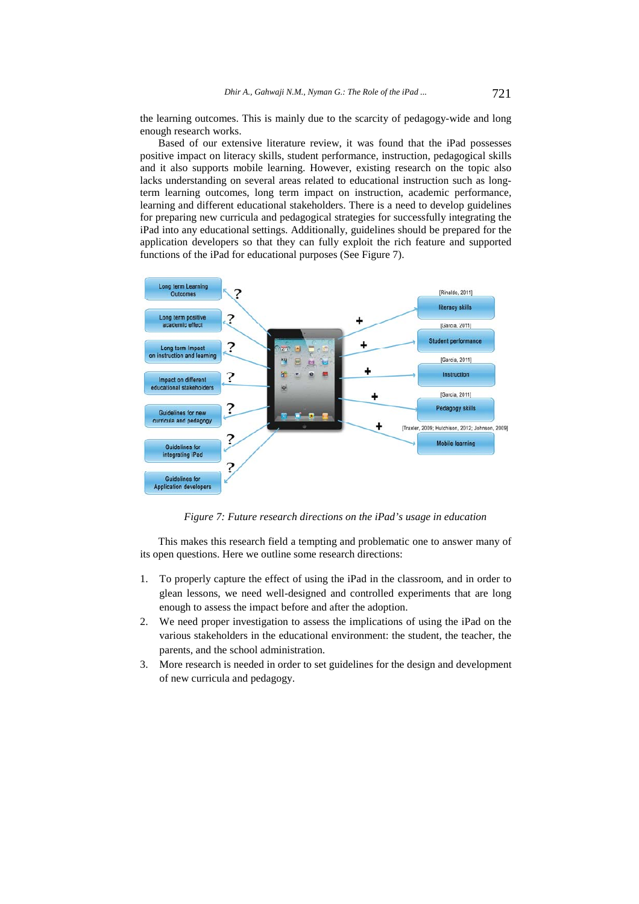the learning outcomes. This is mainly due to the scarcity of pedagogy-wide and long enough research works.

Based of our extensive literature review, it was found that the iPad possesses positive impact on literacy skills, student performance, instruction, pedagogical skills and it also supports mobile learning. However, existing research on the topic also lacks understanding on several areas related to educational instruction such as longterm learning outcomes, long term impact on instruction, academic performance, learning and different educational stakeholders. There is a need to develop guidelines for preparing new curricula and pedagogical strategies for successfully integrating the iPad into any educational settings. Additionally, guidelines should be prepared for the application developers so that they can fully exploit the rich feature and supported functions of the iPad for educational purposes (See Figure 7).



*Figure 7: Future research directions on the iPad's usage in education* 

This makes this research field a tempting and problematic one to answer many of its open questions. Here we outline some research directions:

- 1. To properly capture the effect of using the iPad in the classroom, and in order to glean lessons, we need well-designed and controlled experiments that are long enough to assess the impact before and after the adoption.
- 2. We need proper investigation to assess the implications of using the iPad on the various stakeholders in the educational environment: the student, the teacher, the parents, and the school administration.
- 3. More research is needed in order to set guidelines for the design and development of new curricula and pedagogy.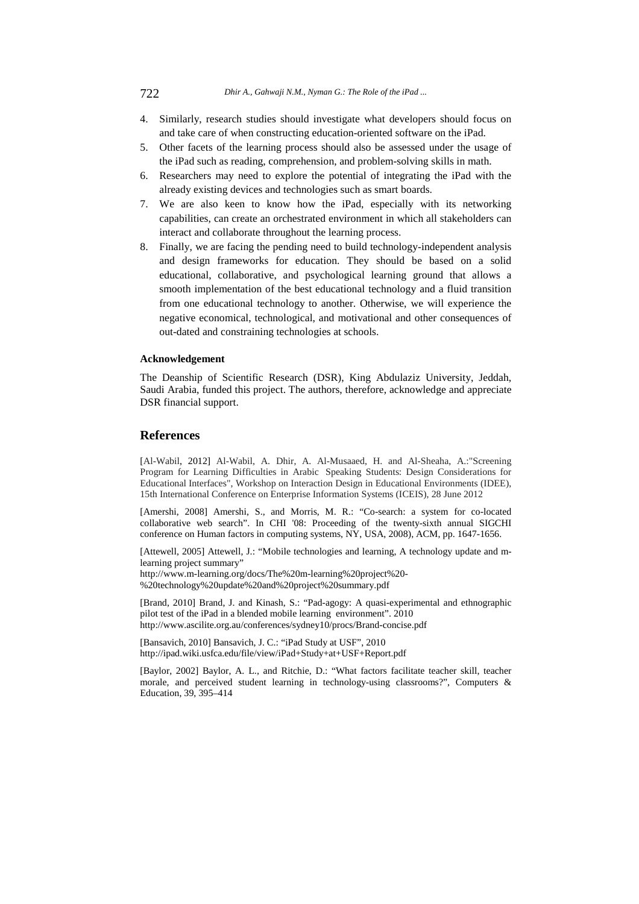- 4. Similarly, research studies should investigate what developers should focus on and take care of when constructing education-oriented software on the iPad.
- 5. Other facets of the learning process should also be assessed under the usage of the iPad such as reading, comprehension, and problem-solving skills in math.
- 6. Researchers may need to explore the potential of integrating the iPad with the already existing devices and technologies such as smart boards.
- 7. We are also keen to know how the iPad, especially with its networking capabilities, can create an orchestrated environment in which all stakeholders can interact and collaborate throughout the learning process.
- 8. Finally, we are facing the pending need to build technology-independent analysis and design frameworks for education. They should be based on a solid educational, collaborative, and psychological learning ground that allows a smooth implementation of the best educational technology and a fluid transition from one educational technology to another. Otherwise, we will experience the negative economical, technological, and motivational and other consequences of out-dated and constraining technologies at schools.

### **Acknowledgement**

The Deanship of Scientific Research (DSR), King Abdulaziz University, Jeddah, Saudi Arabia, funded this project. The authors, therefore, acknowledge and appreciate DSR financial support.

#### **References**

[Al-Wabil, 2012] Al-Wabil, A. Dhir, A. Al-Musaaed, H. and Al-Sheaha, A.: "Screening Program for Learning Difficulties in Arabic Speaking Students: Design Considerations for Educational Interfaces", Workshop on Interaction Design in Educational Environments (IDEE), 15th International Conference on Enterprise Information Systems (ICEIS), 28 June 2012

[Amershi, 2008] Amershi, S., and Morris, M. R.: "Co-search: a system for co-located collaborative web search". In CHI '08: Proceeding of the twenty-sixth annual SIGCHI conference on Human factors in computing systems, NY, USA, 2008), ACM, pp. 1647-1656.

[Attewell, 2005] Attewell, J.: "Mobile technologies and learning, A technology update and mlearning project summary" http://www.m-learning.org/docs/The%20m-learning%20project%20- %20technology%20update%20and%20project%20summary.pdf

[Brand, 2010] Brand, J. and Kinash, S.: "Pad-agogy: A quasi-experimental and ethnographic pilot test of the iPad in a blended mobile learning environment". 2010 http://www.ascilite.org.au/conferences/sydney10/procs/Brand-concise.pdf

[Bansavich, 2010] Bansavich, J. C.: "iPad Study at USF", 2010 http://ipad.wiki.usfca.edu/file/view/iPad+Study+at+USF+Report.pdf

[Baylor, 2002] Baylor, A. L., and Ritchie, D.: "What factors facilitate teacher skill, teacher morale, and perceived student learning in technology-using classrooms?", Computers & Education, 39, 395–414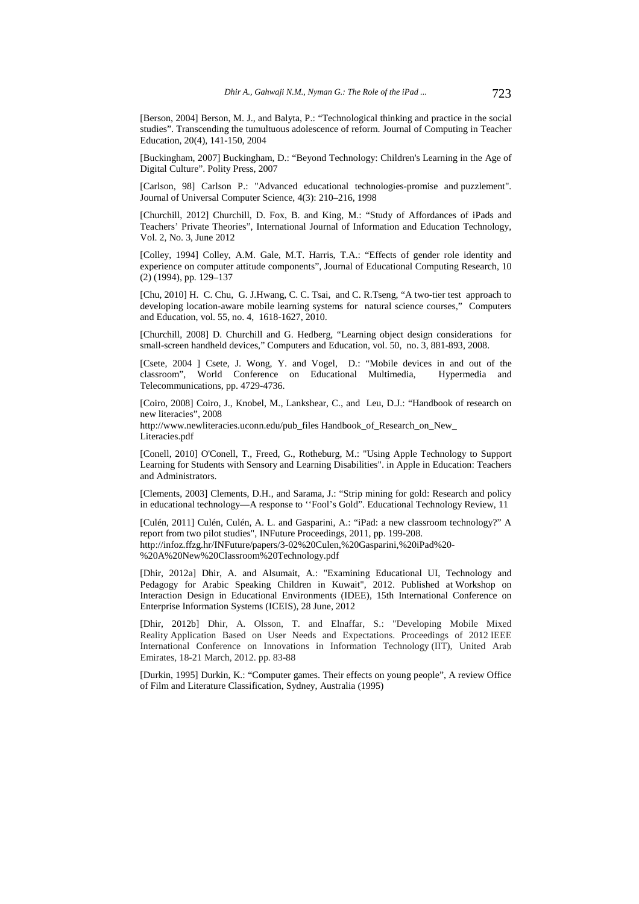[Berson, 2004] Berson, M. J., and Balyta, P.: "Technological thinking and practice in the social studies". Transcending the tumultuous adolescence of reform. Journal of Computing in Teacher Education, 20(4), 141-150, 2004

[Buckingham, 2007] Buckingham, D.: "Beyond Technology: Children's Learning in the Age of Digital Culture". Polity Press, 2007

[Carlson, 98] Carlson P.: "Advanced educational technologies-promise and puzzlement". Journal of Universal Computer Science, 4(3): 210–216, 1998

[Churchill, 2012] Churchill, D. Fox, B. and King, M.: "Study of Affordances of iPads and Teachers' Private Theories", International Journal of Information and Education Technology, Vol. 2, No. 3, June 2012

[Colley, 1994] Colley, A.M. Gale, M.T. Harris, T.A.: "Effects of gender role identity and experience on computer attitude components", Journal of Educational Computing Research, 10 (2) (1994), pp. 129–137

[Chu, 2010] H. C. Chu, G. J.Hwang, C. C. Tsai, and C. R.Tseng, "A two-tier test approach to developing location-aware mobile learning systems for natural science courses," Computers and Education, vol. 55, no. 4, 1618-1627, 2010.

[Churchill, 2008] D. Churchill and G. Hedberg, "Learning object design considerations for small-screen handheld devices," Computers and Education, vol. 50, no. 3, 881-893, 2008.

[Csete, 2004 ] Csete, J. Wong, Y. and Vogel, D.: "Mobile devices in and out of the classroom", World Conference on Educational Multimedia, Hypermedia and Telecommunications, pp. 4729-4736.

[Coiro, 2008] Coiro, J., Knobel, M., Lankshear, C., and Leu, D.J.: "Handbook of research on new literacies", 2008 http://www.newliteracies.uconn.edu/pub\_files Handbook\_of\_Research\_on\_New\_

Literacies.pdf

[Conell, 2010] O'Conell, T., Freed, G., Rotheburg, M.: "Using Apple Technology to Support Learning for Students with Sensory and Learning Disabilities". in Apple in Education: Teachers and Administrators.

[Clements, 2003] Clements, D.H., and Sarama, J.: "Strip mining for gold: Research and policy in educational technology—A response to ''Fool's Gold". Educational Technology Review, 11

[Culén, 2011] Culén, Culén, A. L. and Gasparini, A.: "iPad: a new classroom technology?" A report from two pilot studies", INFuture Proceedings, 2011, pp. 199-208. http://infoz.ffzg.hr/INFuture/papers/3-02%20Culen,%20Gasparini,%20iPad%20- %20A%20New%20Classroom%20Technology.pdf

[Dhir, 2012a] Dhir, A. and Alsumait, A.: "Examining Educational UI, Technology and Pedagogy for Arabic Speaking Children in Kuwait", 2012. Published at Workshop on Interaction Design in Educational Environments (IDEE), 15th International Conference on Enterprise Information Systems (ICEIS), 28 June, 2012

[Dhir, 2012b] Dhir, A. Olsson, T. and Elnaffar, S.: "Developing Mobile Mixed Reality Application Based on User Needs and Expectations. Proceedings of 2012 IEEE International Conference on Innovations in Information Technology (IIT), United Arab Emirates, 18-21 March, 2012. pp. 83-88

[Durkin, 1995] Durkin, K.: "Computer games. Their effects on young people", A review Office of Film and Literature Classification, Sydney, Australia (1995)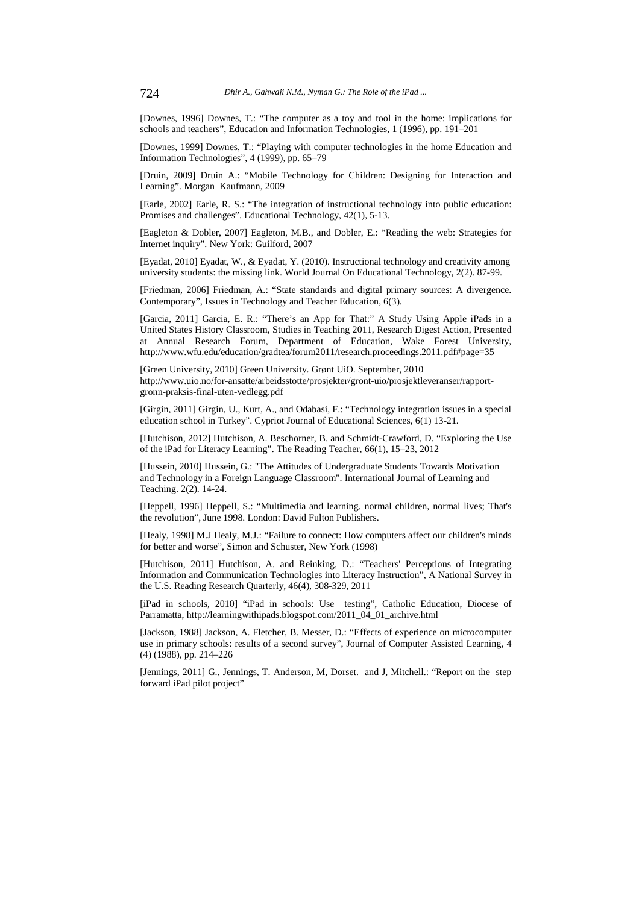[Downes, 1996] Downes, T.: "The computer as a toy and tool in the home: implications for schools and teachers", Education and Information Technologies, 1 (1996), pp. 191–201

[Downes, 1999] Downes, T.: "Playing with computer technologies in the home Education and Information Technologies", 4 (1999), pp. 65–79

[Druin, 2009] Druin A.: "Mobile Technology for Children: Designing for Interaction and Learning". Morgan Kaufmann, 2009

[Earle, 2002] Earle, R. S.: "The integration of instructional technology into public education: Promises and challenges". Educational Technology, 42(1), 5-13.

[Eagleton & Dobler, 2007] Eagleton, M.B., and Dobler, E.: "Reading the web: Strategies for Internet inquiry". New York: Guilford, 2007

[Eyadat, 2010] Eyadat, W., & Eyadat, Y. (2010). Instructional technology and creativity among university students: the missing link. World Journal On Educational Technology, 2(2). 87-99.

[Friedman, 2006] Friedman, A.: "State standards and digital primary sources: A divergence. Contemporary", Issues in Technology and Teacher Education, 6(3).

[Garcia, 2011] Garcia, E. R.: "There's an App for That:" A Study Using Apple iPads in a United States History Classroom, Studies in Teaching 2011, Research Digest Action, Presented at Annual Research Forum, Department of Education, Wake Forest University, http://www.wfu.edu/education/gradtea/forum2011/research.proceedings.2011.pdf#page=35

[Green University, 2010] Green University. Grønt UiO. September, 2010 http://www.uio.no/for-ansatte/arbeidsstotte/prosjekter/gront-uio/prosjektleveranser/rapportgronn-praksis-final-uten-vedlegg.pdf

[Girgin, 2011] Girgin, U., Kurt, A., and Odabasi, F.: "Technology integration issues in a special education school in Turkey". Cypriot Journal of Educational Sciences, 6(1) 13-21.

[Hutchison, 2012] Hutchison, A. Beschorner, B. and Schmidt-Crawford, D. "Exploring the Use of the iPad for Literacy Learning". The Reading Teacher, 66(1), 15–23, 2012

[Hussein, 2010] Hussein, G.: "The Attitudes of Undergraduate Students Towards Motivation and Technology in a Foreign Language Classroom". International Journal of Learning and Teaching. 2(2). 14-24.

[Heppell, 1996] Heppell, S.: "Multimedia and learning. normal children, normal lives; That's the revolution", June 1998. London: David Fulton Publishers.

[Healy, 1998] M.J Healy, M.J.: "Failure to connect: How computers affect our children's minds for better and worse", Simon and Schuster, New York (1998)

[Hutchison, 2011] Hutchison, A. and Reinking, D.: "Teachers' Perceptions of Integrating Information and Communication Technologies into Literacy Instruction", A National Survey in the U.S. Reading Research Quarterly, 46(4), 308-329, 2011

[iPad in schools, 2010] "iPad in schools: Use testing", Catholic Education, Diocese of Parramatta, http://learningwithipads.blogspot.com/2011\_04\_01\_archive.html

[Jackson, 1988] Jackson, A. Fletcher, B. Messer, D.: "Effects of experience on microcomputer use in primary schools: results of a second survey", Journal of Computer Assisted Learning, 4 (4) (1988), pp. 214–226

[Jennings, 2011] G., Jennings, T. Anderson, M, Dorset. and J, Mitchell.: "Report on the step forward iPad pilot project"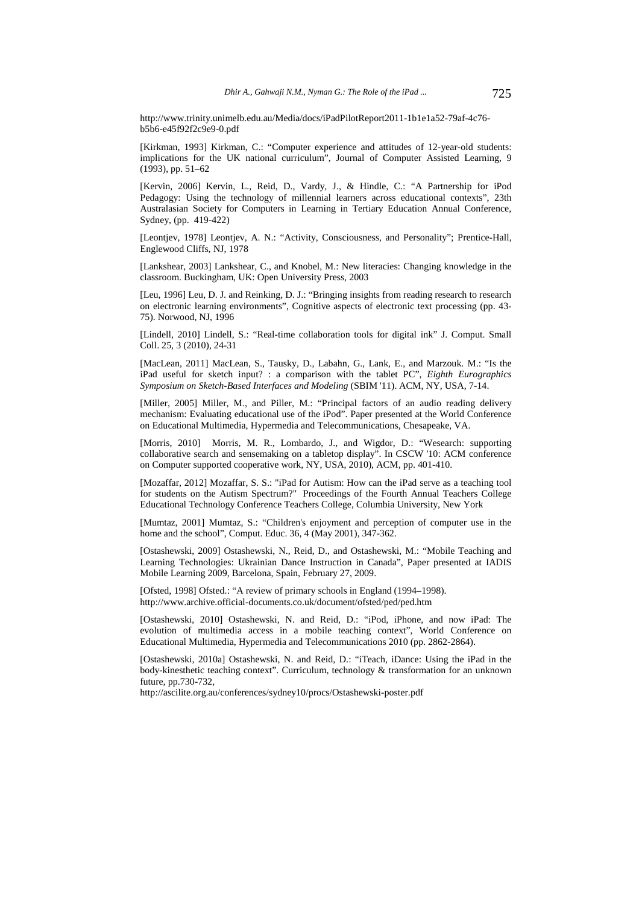http://www.trinity.unimelb.edu.au/Media/docs/iPadPilotReport2011-1b1e1a52-79af-4c76 b5b6-e45f92f2c9e9-0.pdf

[Kirkman, 1993] Kirkman, C.: "Computer experience and attitudes of 12-year-old students: implications for the UK national curriculum", Journal of Computer Assisted Learning, 9 (1993), pp. 51–62

[Kervin, 2006] Kervin, L., Reid, D., Vardy, J., & Hindle, C.: "A Partnership for iPod Pedagogy: Using the technology of millennial learners across educational contexts", 23th Australasian Society for Computers in Learning in Tertiary Education Annual Conference, Sydney, (pp. 419-422)

[Leontjev, 1978] Leontjev, A. N.: "Activity, Consciousness, and Personality"; Prentice-Hall, Englewood Cliffs, NJ, 1978

[Lankshear, 2003] Lankshear, C., and Knobel, M.: New literacies: Changing knowledge in the classroom. Buckingham, UK: Open University Press, 2003

[Leu, 1996] Leu, D. J. and Reinking, D. J.: "Bringing insights from reading research to research on electronic learning environments", Cognitive aspects of electronic text processing (pp. 43- 75). Norwood, NJ, 1996

[Lindell, 2010] Lindell, S.: "Real-time collaboration tools for digital ink" J. Comput. Small Coll. 25, 3 (2010), 24-31

[MacLean, 2011] MacLean, S., Tausky, D., Labahn, G., Lank, E., and Marzouk. M.: "Is the iPad useful for sketch input? : a comparison with the tablet PC", *Eighth Eurographics Symposium on Sketch-Based Interfaces and Modeling* (SBIM '11). ACM, NY, USA, 7-14.

[Miller, 2005] Miller, M., and Piller, M.: "Principal factors of an audio reading delivery mechanism: Evaluating educational use of the iPod". Paper presented at the World Conference on Educational Multimedia, Hypermedia and Telecommunications, Chesapeake, VA.

[Morris, 2010] Morris, M. R., Lombardo, J., and Wigdor, D.: "Wesearch: supporting collaborative search and sensemaking on a tabletop display". In CSCW '10: ACM conference on Computer supported cooperative work, NY, USA, 2010), ACM, pp. 401-410.

[Mozaffar, 2012] Mozaffar, S. S.: "iPad for Autism: How can the iPad serve as a teaching tool for students on the Autism Spectrum?" Proceedings of the Fourth Annual Teachers College Educational Technology Conference Teachers College, Columbia University, New York

[Mumtaz, 2001] Mumtaz, S.: "Children's enjoyment and perception of computer use in the home and the school", Comput. Educ. 36, 4 (May 2001), 347-362.

[Ostashewski, 2009] Ostashewski, N., Reid, D., and Ostashewski, M.: "Mobile Teaching and Learning Technologies: Ukrainian Dance Instruction in Canada", Paper presented at IADIS Mobile Learning 2009, Barcelona, Spain, February 27, 2009.

[Ofsted, 1998] Ofsted.: "A review of primary schools in England (1994–1998). http://www.archive.official-documents.co.uk/document/ofsted/ped/ped.htm

[Ostashewski, 2010] Ostashewski, N. and Reid, D.: "iPod, iPhone, and now iPad: The evolution of multimedia access in a mobile teaching context", World Conference on Educational Multimedia, Hypermedia and Telecommunications 2010 (pp. 2862-2864).

[Ostashewski, 2010a] Ostashewski, N. and Reid, D.: "iTeach, iDance: Using the iPad in the body-kinesthetic teaching context". Curriculum, technology & transformation for an unknown future, pp.730-732,

http://ascilite.org.au/conferences/sydney10/procs/Ostashewski-poster.pdf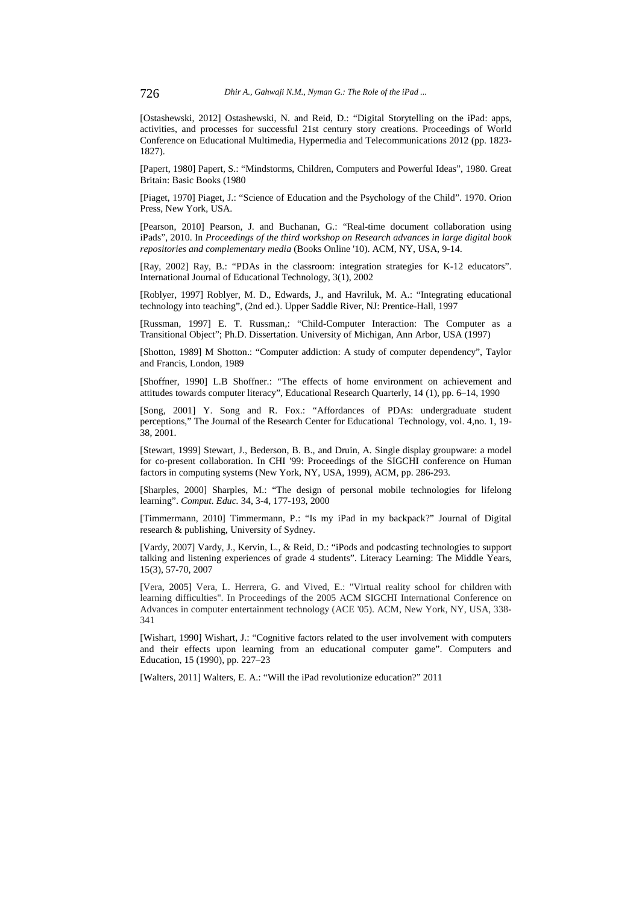[Ostashewski, 2012] Ostashewski, N. and Reid, D.: "Digital Storytelling on the iPad: apps, activities, and processes for successful 21st century story creations. Proceedings of World Conference on Educational Multimedia, Hypermedia and Telecommunications 2012 (pp. 1823- 1827).

[Papert, 1980] Papert, S.: "Mindstorms, Children, Computers and Powerful Ideas", 1980. Great Britain: Basic Books (1980

[Piaget, 1970] Piaget, J.: "Science of Education and the Psychology of the Child". 1970. Orion Press, New York, USA.

[Pearson, 2010] Pearson, J. and Buchanan, G.: "Real-time document collaboration using iPads", 2010. In *Proceedings of the third workshop on Research advances in large digital book repositories and complementary media* (Books Online '10). ACM, NY, USA, 9-14.

[Ray, 2002] Ray, B.: "PDAs in the classroom: integration strategies for K-12 educators". International Journal of Educational Technology, 3(1), 2002

[Roblyer, 1997] Roblyer, M. D., Edwards, J., and Havriluk, M. A.: "Integrating educational technology into teaching", (2nd ed.). Upper Saddle River, NJ: Prentice-Hall, 1997

[Russman, 1997] E. T. Russman,: "Child-Computer Interaction: The Computer as a Transitional Object"; Ph.D. Dissertation. University of Michigan, Ann Arbor, USA (1997)

[Shotton, 1989] M Shotton.: "Computer addiction: A study of computer dependency", Taylor and Francis, London, 1989

[Shoffner, 1990] L.B Shoffner.: "The effects of home environment on achievement and attitudes towards computer literacy", Educational Research Quarterly, 14 (1), pp. 6–14, 1990

[Song, 2001] Y. Song and R. Fox.: "Affordances of PDAs: undergraduate student perceptions," The Journal of the Research Center for Educational Technology, vol. 4,no. 1, 19- 38, 2001.

[Stewart, 1999] Stewart, J., Bederson, B. B., and Druin, A. Single display groupware: a model for co-present collaboration. In CHI '99: Proceedings of the SIGCHI conference on Human factors in computing systems (New York, NY, USA, 1999), ACM, pp. 286-293.

[Sharples, 2000] Sharples, M.: "The design of personal mobile technologies for lifelong learning". *Comput. Educ.* 34, 3-4, 177-193, 2000

[Timmermann, 2010] Timmermann, P.: "Is my iPad in my backpack?" Journal of Digital research & publishing, University of Sydney.

[Vardy, 2007] Vardy, J., Kervin, L., & Reid, D.: "iPods and podcasting technologies to support talking and listening experiences of grade 4 students". Literacy Learning: The Middle Years, 15(3), 57-70, 2007

[Vera, 2005] Vera, L. Herrera, G. and Vived, E.: "Virtual reality school for children with learning difficulties". In Proceedings of the 2005 ACM SIGCHI International Conference on Advances in computer entertainment technology (ACE '05). ACM, New York, NY, USA, 338- 341

[Wishart, 1990] Wishart, J.: "Cognitive factors related to the user involvement with computers and their effects upon learning from an educational computer game". Computers and Education, 15 (1990), pp. 227–23

[Walters, 2011] Walters, E. A.: "Will the iPad revolutionize education?" 2011